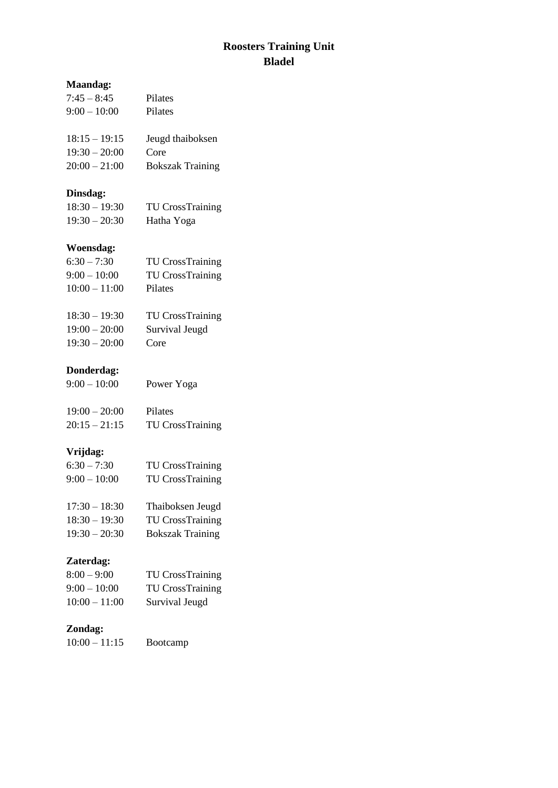## **Roosters Training Unit Bladel**

| <b>Maandag:</b> |                         |  |
|-----------------|-------------------------|--|
| $7:45 - 8:45$   | Pilates                 |  |
| $9:00 - 10:00$  | Pilates                 |  |
| $18:15 - 19:15$ | Jeugd thaiboksen        |  |
| $19:30 - 20:00$ | Core                    |  |
| $20:00 - 21:00$ | <b>Bokszak Training</b> |  |
| Dinsdag:        |                         |  |
| $18:30 - 19:30$ | <b>TU CrossTraining</b> |  |
| $19:30 - 20:30$ | Hatha Yoga              |  |
| Woensdag:       |                         |  |
| $6:30 - 7:30$   | <b>TU CrossTraining</b> |  |
| $9:00 - 10:00$  | <b>TU CrossTraining</b> |  |
| $10:00 - 11:00$ | Pilates                 |  |
| $18:30 - 19:30$ | <b>TU CrossTraining</b> |  |
| $19:00 - 20:00$ | Survival Jeugd          |  |
| $19:30 - 20:00$ | Core                    |  |
| Donderdag:      |                         |  |
| $9:00 - 10:00$  | Power Yoga              |  |
| $19:00 - 20:00$ | Pilates                 |  |
| $20:15 - 21:15$ | <b>TU CrossTraining</b> |  |
| Vrijdag:        |                         |  |
| $6:30 - 7:30$   | <b>TU CrossTraining</b> |  |
| $9:00 - 10:00$  | <b>TU CrossTraining</b> |  |
| $17:30 - 18:30$ | Thaiboksen Jeugd        |  |
| $18:30 - 19:30$ | <b>TU CrossTraining</b> |  |
| $19:30 - 20:30$ | <b>Bokszak Training</b> |  |
| Zaterdag:       |                         |  |
| $8:00 - 9:00$   | <b>TU CrossTraining</b> |  |
| $9:00 - 10:00$  | <b>TU CrossTraining</b> |  |
| $10:00 - 11:00$ | Survival Jeugd          |  |

## **Zondag:**

| Bootcamp |
|----------|
|          |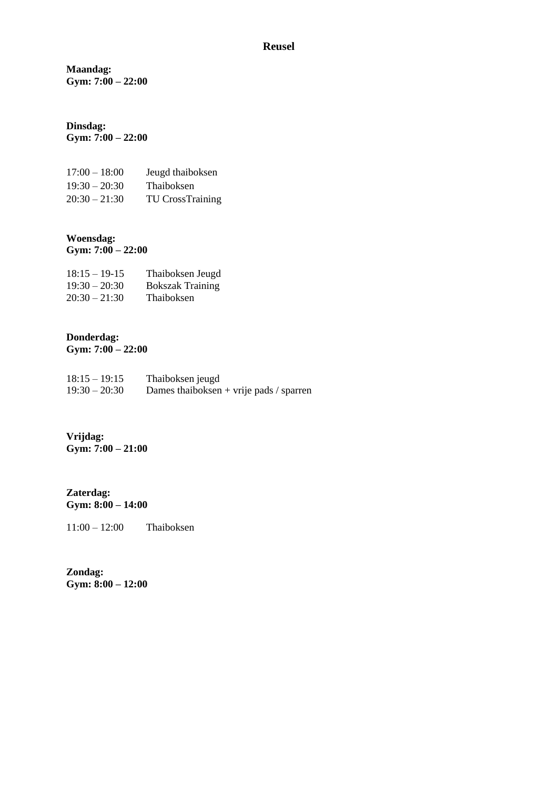#### **Reusel**

**Maandag: Gym: 7:00 – 22:00**

#### **Dinsdag: Gym: 7:00 – 22:00**

| $17:00 - 18:00$ | Jeugd thaiboksen        |
|-----------------|-------------------------|
| $19:30 - 20:30$ | Thaiboksen              |
| $20:30 - 21:30$ | <b>TU CrossTraining</b> |

#### **Woensdag: Gym: 7:00 – 22:00**

| $18:15 - 19-15$ | Thaiboksen Jeugd        |
|-----------------|-------------------------|
| $19:30 - 20:30$ | <b>Bokszak Training</b> |
| $20:30 - 21:30$ | Thaiboksen              |

# **Donderdag:**

**Gym: 7:00 – 22:00**

| $18:15 - 19:15$ | Thaiboksen jeugd                        |
|-----------------|-----------------------------------------|
| $19:30 - 20:30$ | Dames thaiboksen + vrije pads / sparren |

#### **Vrijdag: Gym: 7:00 – 21:00**

**Zaterdag: Gym: 8:00 – 14:00**

11:00 – 12:00 Thaiboksen

**Zondag: Gym: 8:00 – 12:00**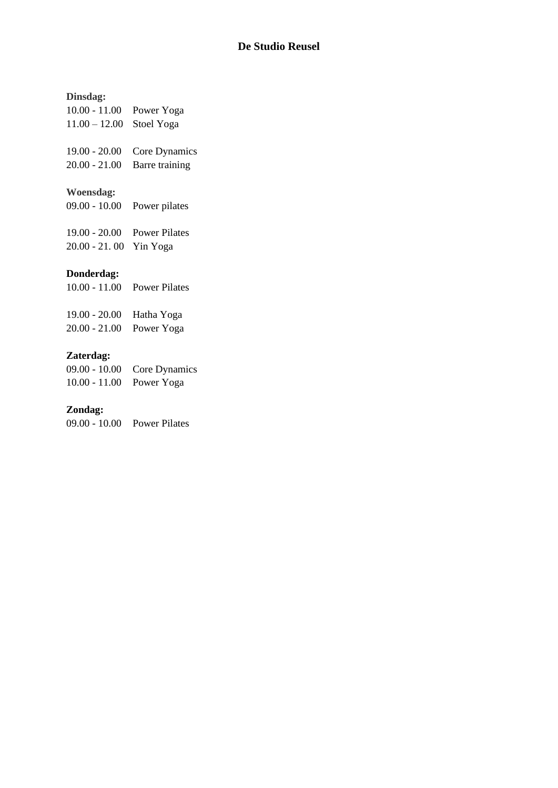#### **De Studio Reusel**

## **Dinsdag:**

| $10.00 - 11.00$              | Power Yoga           |
|------------------------------|----------------------|
| $11.00 - 12.00$              | Stoel Yoga           |
| $19.00 - 20.00$              | Core Dynamics        |
| $20.00 - 21.00$              | Barre training       |
| Woensdag:<br>$09.00 - 10.00$ | Power pilates        |
| $19.00 - 20.00$              | <b>Power Pilates</b> |
| $20.00 - 21.00$              | Yin Yoga             |

## **Donderdag:**

| $10.00 - 11.00$ Power Pilates |
|-------------------------------|
|                               |

| 19.00 - 20.00 Hatha Yoga |  |
|--------------------------|--|
| 20.00 - 21.00 Power Yoga |  |

## **Zaterdag:**

|                          | 09.00 - 10.00 Core Dynamics |
|--------------------------|-----------------------------|
| 10.00 - 11.00 Power Yoga |                             |

## **Zondag:**

09.00 - 10.00 Power Pilates